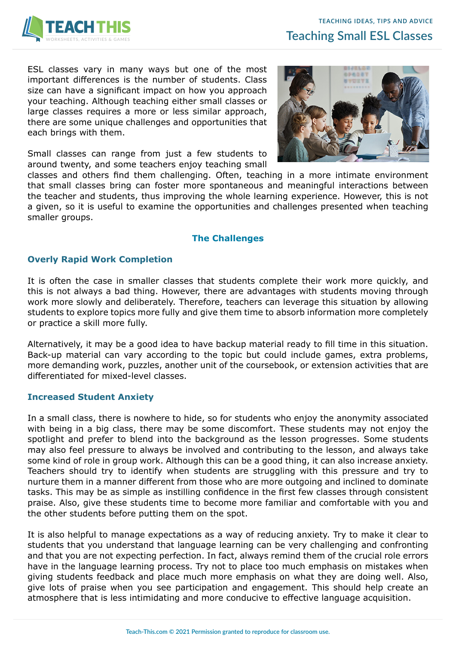

ESL classes vary in many ways but one of the most important differences is the number of students. Class size can have a significant impact on how you approach your teaching. Although teaching either small classes or large classes requires a more or less similar approach, there are some unique challenges and opportunities that each brings with them.

Small classes can range from just a few students to around twenty, and some teachers enjoy teaching small



classes and others find them challenging. Often, teaching in a more intimate environment that small classes bring can foster more spontaneous and meaningful interactions between the teacher and students, thus improving the whole learning experience. However, this is not a given, so it is useful to examine the opportunities and challenges presented when teaching smaller groups.

# **The Challenges**

### **Overly Rapid Work Completion**

It is often the case in smaller classes that students complete their work more quickly, and this is not always a bad thing. However, there are advantages with students moving through work more slowly and deliberately. Therefore, teachers can leverage this situation by allowing students to explore topics more fully and give them time to absorb information more completely or practice a skill more fully.

Alternatively, it may be a good idea to have backup material ready to fill time in this situation. Back-up material can vary according to the topic but could include games, extra problems, more demanding work, puzzles, another unit of the coursebook, or extension activities that are differentiated for mixed-level classes.

### **Increased Student Anxiety**

In a small class, there is nowhere to hide, so for students who enjoy the anonymity associated with being in a big class, there may be some discomfort. These students may not enjoy the spotlight and prefer to blend into the background as the lesson progresses. Some students may also feel pressure to always be involved and contributing to the lesson, and always take some kind of role in group work. Although this can be a good thing, it can also increase anxiety. Teachers should try to identify when students are struggling with this pressure and try to nurture them in a manner different from those who are more outgoing and inclined to dominate tasks. This may be as simple as instilling confidence in the first few classes through consistent praise. Also, give these students time to become more familiar and comfortable with you and the other students before putting them on the spot.

It is also helpful to manage expectations as a way of reducing anxiety. Try to make it clear to students that you understand that language learning can be very challenging and confronting and that you are not expecting perfection. In fact, always remind them of the crucial role errors have in the language learning process. Try not to place too much emphasis on mistakes when giving students feedback and place much more emphasis on what they are doing well. Also, give lots of praise when you see participation and engagement. This should help create an atmosphere that is less intimidating and more conducive to effective language acquisition.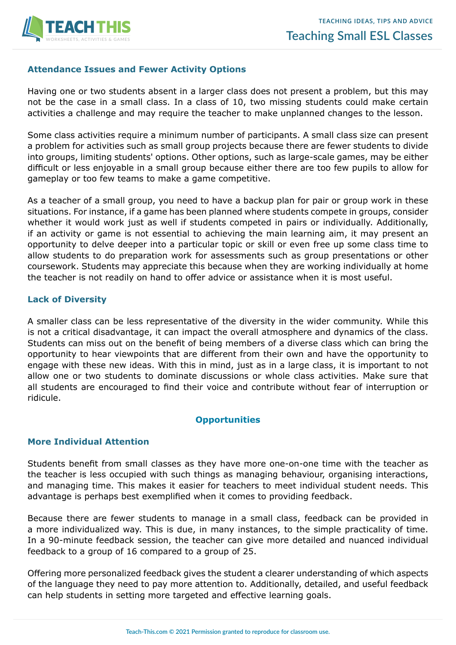

## **Attendance Issues and Fewer Activity Options**

Having one or two students absent in a larger class does not present a problem, but this may not be the case in a small class. In a class of 10, two missing students could make certain activities a challenge and may require the teacher to make unplanned changes to the lesson.

Some class activities require a minimum number of participants. A small class size can present a problem for activities such as small group projects because there are fewer students to divide into groups, limiting students' options. Other options, such as large-scale games, may be either difficult or less enjoyable in a small group because either there are too few pupils to allow for gameplay or too few teams to make a game competitive.

As a teacher of a small group, you need to have a backup plan for pair or group work in these situations. For instance, if a game has been planned where students compete in groups, consider whether it would work just as well if students competed in pairs or individually. Additionally, if an activity or game is not essential to achieving the main learning aim, it may present an opportunity to delve deeper into a particular topic or skill or even free up some class time to allow students to do preparation work for assessments such as group presentations or other coursework. Students may appreciate this because when they are working individually at home the teacher is not readily on hand to offer advice or assistance when it is most useful.

### **Lack of Diversity**

A smaller class can be less representative of the diversity in the wider community. While this is not a critical disadvantage, it can impact the overall atmosphere and dynamics of the class. Students can miss out on the benefit of being members of a diverse class which can bring the opportunity to hear viewpoints that are different from their own and have the opportunity to engage with these new ideas. With this in mind, just as in a large class, it is important to not allow one or two students to dominate discussions or whole class activities. Make sure that all students are encouraged to find their voice and contribute without fear of interruption or ridicule.

### **Opportunities**

### **More Individual Attention**

Students benefit from small classes as they have more one-on-one time with the teacher as the teacher is less occupied with such things as managing behaviour, organising interactions, and managing time. This makes it easier for teachers to meet individual student needs. This advantage is perhaps best exemplified when it comes to providing feedback.

Because there are fewer students to manage in a small class, feedback can be provided in a more individualized way. This is due, in many instances, to the simple practicality of time. In a 90-minute feedback session, the teacher can give more detailed and nuanced individual feedback to a group of 16 compared to a group of 25.

Offering more personalized feedback gives the student a clearer understanding of which aspects of the language they need to pay more attention to. Additionally, detailed, and useful feedback can help students in setting more targeted and effective learning goals.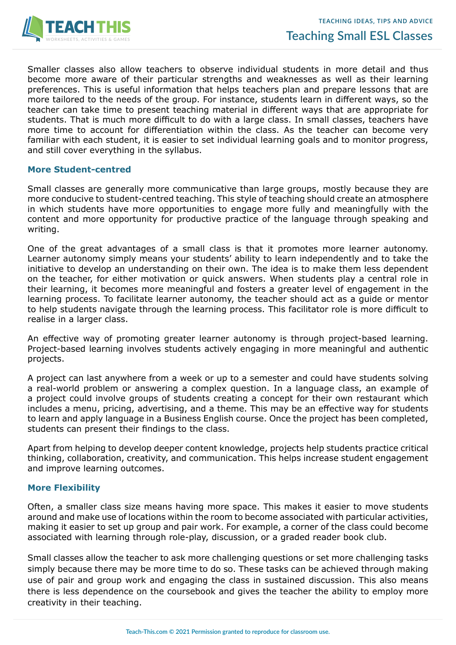

Smaller classes also allow teachers to observe individual students in more detail and thus become more aware of their particular strengths and weaknesses as well as their learning preferences. This is useful information that helps teachers plan and prepare lessons that are more tailored to the needs of the group. For instance, students learn in different ways, so the teacher can take time to present teaching material in different ways that are appropriate for students. That is much more difficult to do with a large class. In small classes, teachers have more time to account for differentiation within the class. As the teacher can become very familiar with each student, it is easier to set individual learning goals and to monitor progress, and still cover everything in the syllabus.

#### **More Student-centred**

Small classes are generally more communicative than large groups, mostly because they are more conducive to student-centred teaching. This style of teaching should create an atmosphere in which students have more opportunities to engage more fully and meaningfully with the content and more opportunity for productive practice of the language through speaking and writing.

One of the great advantages of a small class is that it promotes more learner autonomy. Learner autonomy simply means your students' ability to learn independently and to take the initiative to develop an understanding on their own. The idea is to make them less dependent on the teacher, for either motivation or quick answers. When students play a central role in their learning, it becomes more meaningful and fosters a greater level of engagement in the learning process. To facilitate learner autonomy, the teacher should act as a guide or mentor to help students navigate through the learning process. This facilitator role is more difficult to realise in a larger class.

An effective way of promoting greater learner autonomy is through project-based learning. Project-based learning involves students actively engaging in more meaningful and authentic projects.

A project can last anywhere from a week or up to a semester and could have students solving a real-world problem or answering a complex question. In a language class, an example of a project could involve groups of students creating a concept for their own restaurant which includes a menu, pricing, advertising, and a theme. This may be an effective way for students to learn and apply language in a Business English course. Once the project has been completed, students can present their findings to the class.

Apart from helping to develop deeper content knowledge, projects help students practice critical thinking, collaboration, creativity, and communication. This helps increase student engagement and improve learning outcomes.

### **More Flexibility**

Often, a smaller class size means having more space. This makes it easier to move students around and make use of locations within the room to become associated with particular activities, making it easier to set up group and pair work. For example, a corner of the class could become associated with learning through role-play, discussion, or a graded reader book club.

Small classes allow the teacher to ask more challenging questions or set more challenging tasks simply because there may be more time to do so. These tasks can be achieved through making use of pair and group work and engaging the class in sustained discussion. This also means there is less dependence on the coursebook and gives the teacher the ability to employ more creativity in their teaching.